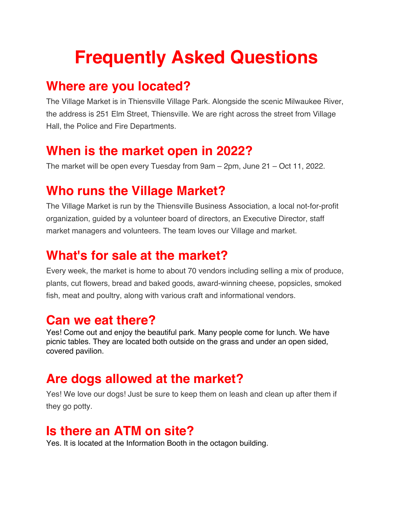# **Frequently Asked Questions**

#### **Where are you located?**

The Village Market is in Thiensville Village Park. Alongside the scenic Milwaukee River, the address is 251 Elm Street, Thiensville. We are right across the street from Village Hall, the Police and Fire Departments.

## **When is the market open in 2022?**

The market will be open every Tuesday from 9am – 2pm, June 21 – Oct 11, 2022.

# **Who runs the Village Market?**

The Village Market is run by the Thiensville Business Association, a local not-for-profit organization, guided by a volunteer board of directors, an Executive Director, staff market managers and volunteers. The team loves our Village and market.

# **What's for sale at the market?**

Every week, the market is home to about 70 vendors including selling a mix of produce, plants, cut flowers, bread and baked goods, award-winning cheese, popsicles, smoked fish, meat and poultry, along with various craft and informational vendors.

# **Can we eat there?**

Yes! Come out and enjoy the beautiful park. Many people come for lunch. We have picnic tables. They are located both outside on the grass and under an open sided, covered pavilion.

## **Are dogs allowed at the market?**

Yes! We love our dogs! Just be sure to keep them on leash and clean up after them if they go potty.

### **Is there an ATM on site?**

Yes. It is located at the Information Booth in the octagon building.